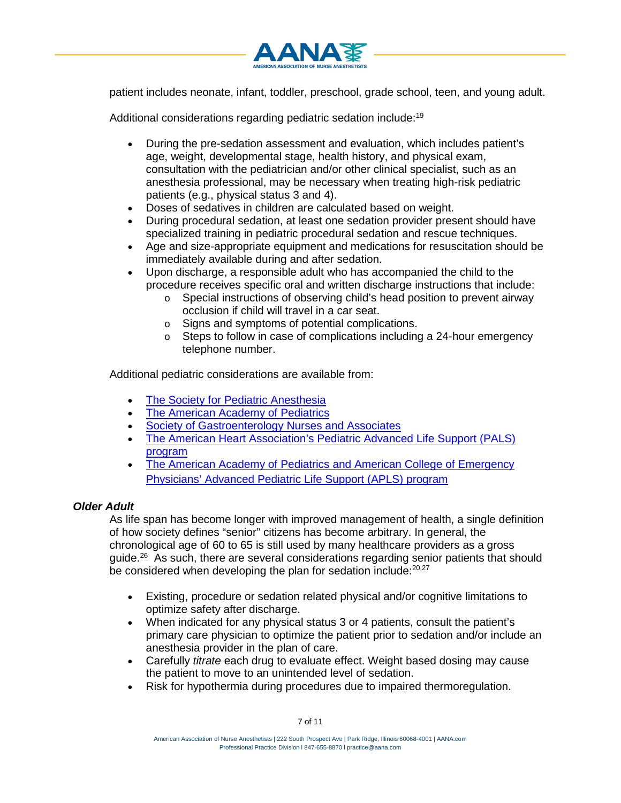patient includes neonate, infant, toddler, preschool, grade school, teen, and young adult.

Additional considerations regarding pediatric sedation include:<sup>19</sup>

- During the pre-sedation assessment and evaluation, which includes patient's age, weight, developmental stage, health history, and physical exam, consultation with the pediatrician and/or other clinical specialist, such as an anesthesia professional, may be necessary when treating high-risk pediatric patients (e.g., physical status 3 and 4).
- Doses of sedatives in children are calculated based on weight.
- During procedural sedation, at least one sedation provider present should have specialized training in pediatric procedural sedation and rescue techniques.
- Age and size-appropriate equipment and medications for resuscitation should be immediately available during and after sedation.
- Upon discharge, a responsible adult who has accompanied the child to the procedure receives specific oral and written discharge instructions that include:
	- o Special instructions of observing child's head position to prevent airway occlusion if child will travel in a car seat.
	- Signs and symptoms of potential complications.
	- o Steps to follow in case of complications including a 24-hour emergency telephone number.

Additional pediatric considerations are available from:

- [The Society for Pediatric Anesthesia](http://www.pedsanesthesia.org/)
- [The American Academy of Pediatrics](http://www.aap.org/)
- [Society of Gastroenterology Nurses and Associates](http://www.sgna.org/)
- [The American Heart Association's Pediatric Advanced Life Support \(PALS\)](http://www.heart.org/HEARTORG/CPRAndECC/HealthcareProviders/Pediatrics/Pediatrics_UCM_001282_SubHomePage.jsp) [program](http://www.heart.org/HEARTORG/CPRAndECC/HealthcareProviders/Pediatrics/Pediatrics_UCM_001282_SubHomePage.jsp)
- [The American Academy of Pediatrics and American College of Emergency](http://www.aplsonline.com/) [Physicians' Advanced Pediatric Life Support \(APLS\) program](http://www.aplsonline.com/)

## *Older Adult*

As life span has become longer with improved management of health, a single definition of how society defines "senior" citizens has become arbitrary. In general, the chronological age of 60 to 65 is still used by many healthcare providers as a gross guide. $26$  As such, there are several considerations regarding senior patients that should be considered when developing the plan for sedation include:<sup>20,27</sup>

- Existing, procedure or sedation related physical and/or cognitive limitations to optimize safety after discharge.
- When indicated for any physical status 3 or 4 patients, consult the patient's primary care physician to optimize the patient prior to sedation and/or include an anesthesia provider in the plan of care.
- Carefully *titrate* each drug to evaluate effect. Weight based dosing may cause the patient to move to an unintended level of sedation.
- Risk for hypothermia during procedures due to impaired thermoregulation.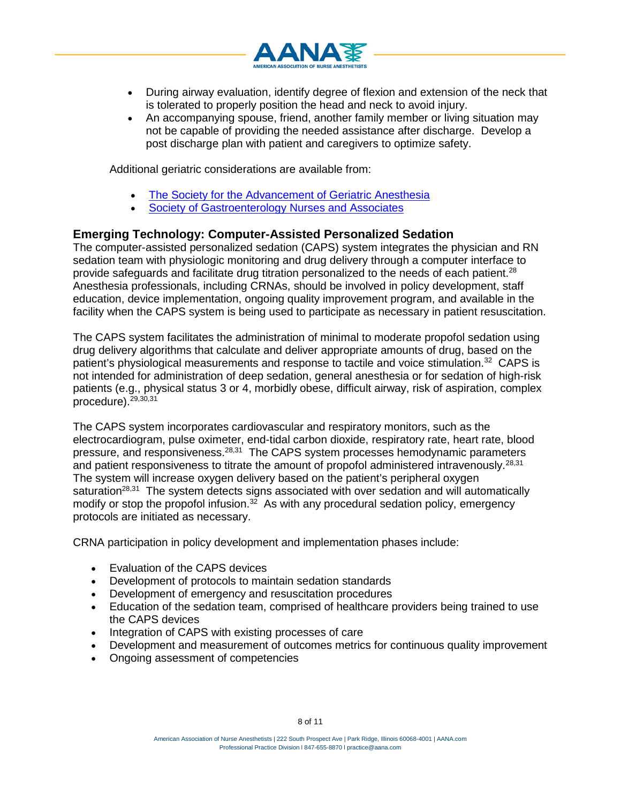

- During airway evaluation, identify degree of flexion and extension of the neck that is tolerated to properly position the head and neck to avoid injury.
- An accompanying spouse, friend, another family member or living situation may not be capable of providing the needed assistance after discharge. Develop a post discharge plan with patient and caregivers to optimize safety.

Additional geriatric considerations are available from:

- [The Society for the Advancement of Geriatric Anesthesia](http://www.sagahq.org/professionalresources.html)
- **[Society of Gastroenterology Nurses and Associates](http://www.sgna.org/)**

## **Emerging Technology: Computer-Assisted Personalized Sedation**

The computer-assisted personalized sedation (CAPS) system integrates the physician and RN sedation team with physiologic monitoring and drug delivery through a computer interface to provide safeguards and facilitate drug titration personalized to the needs of each patient.<sup>28</sup> Anesthesia professionals, including CRNAs, should be involved in policy development, staff education, device implementation, ongoing quality improvement program, and available in the facility when the CAPS system is being used to participate as necessary in patient resuscitation.

The CAPS system facilitates the administration of minimal to moderate propofol sedation using drug delivery algorithms that calculate and deliver appropriate amounts of drug, based on the patient's physiological measurements and response to tactile and voice stimulation.32 CAPS is not intended for administration of deep sedation, general anesthesia or for sedation of high-risk patients (e.g., physical status 3 or 4, morbidly obese, difficult airway, risk of aspiration, complex procedure).<sup>29,30,31</sup>

The CAPS system incorporates cardiovascular and respiratory monitors, such as the electrocardiogram, pulse oximeter, end-tidal carbon dioxide, respiratory rate, heart rate, blood pressure, and responsiveness.28,31 The CAPS system processes hemodynamic parameters and patient responsiveness to titrate the amount of propofol administered intravenously.<sup>28,31</sup> The system will increase oxygen delivery based on the patient's peripheral oxygen saturation<sup>28,31</sup> The system detects signs associated with over sedation and will automatically modify or stop the propofol infusion.<sup>32</sup> As with any procedural sedation policy, emergency protocols are initiated as necessary.

CRNA participation in policy development and implementation phases include:

- Evaluation of the CAPS devices
- Development of protocols to maintain sedation standards
- Development of emergency and resuscitation procedures
- Education of the sedation team, comprised of healthcare providers being trained to use the CAPS devices
- Integration of CAPS with existing processes of care
- Development and measurement of outcomes metrics for continuous quality improvement
- Ongoing assessment of competencies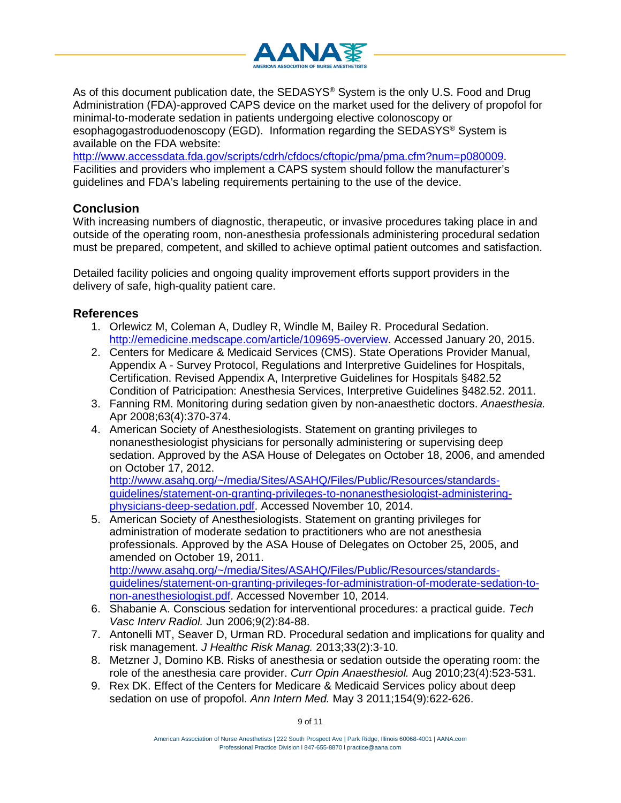

As of this document publication date, the SEDASYS® System is the only U.S. Food and Drug Administration (FDA)-approved CAPS device on the market used for the delivery of propofol for minimal-to-moderate sedation in patients undergoing elective colonoscopy or esophagogastroduodenoscopy (EGD). Information regarding the SEDASYS® System is available on the FDA website:

[http://www.accessdata.fda.gov/scripts/cdrh/cfdocs/cftopic/pma/pma.cfm?num=p080009.](http://www.accessdata.fda.gov/scripts/cdrh/cfdocs/cftopic/pma/pma.cfm?num=p080009) Facilities and providers who implement a CAPS system should follow the manufacturer's guidelines and FDA's labeling requirements pertaining to the use of the device.

## **Conclusion**

With increasing numbers of diagnostic, therapeutic, or invasive procedures taking place in and outside of the operating room, non-anesthesia professionals administering procedural sedation must be prepared, competent, and skilled to achieve optimal patient outcomes and satisfaction.

Detailed facility policies and ongoing quality improvement efforts support providers in the delivery of safe, high-quality patient care.

## **References**

- 1. Orlewicz M, Coleman A, Dudley R, Windle M, Bailey R. Procedural Sedation. [http://emedicine.medscape.com/article/109695-overview.](http://emedicine.medscape.com/article/109695-overview) Accessed January 20, 2015.
- 2. Centers for Medicare & Medicaid Services (CMS). State Operations Provider Manual, Appendix A - Survey Protocol, Regulations and Interpretive Guidelines for Hospitals, Certification. Revised Appendix A, Interpretive Guidelines for Hospitals §482.52 Condition of Patricipation: Anesthesia Services, Interpretive Guidelines §482.52. 2011.
- 3. Fanning RM. Monitoring during sedation given by non-anaesthetic doctors. *Anaesthesia.* Apr 2008;63(4):370-374.
- 4. American Society of Anesthesiologists. Statement on granting privileges to nonanesthesiologist physicians for personally administering or supervising deep sedation. Approved by the ASA House of Delegates on October 18, 2006, and amended on October 17, 2012.

[http://www.asahq.org/~/media/Sites/ASAHQ/Files/Public/Resources/standards](http://www.asahq.org/%7E/media/Sites/ASAHQ/Files/Public/Resources/standards-guidelines/statement-on-granting-privileges-to-nonanesthesiologist-administering-physicians-deep-sedation.pdf)[guidelines/statement-on-granting-privileges-to-nonanesthesiologist-administering](http://www.asahq.org/%7E/media/Sites/ASAHQ/Files/Public/Resources/standards-guidelines/statement-on-granting-privileges-to-nonanesthesiologist-administering-physicians-deep-sedation.pdf)[physicians-deep-sedation.pdf.](http://www.asahq.org/%7E/media/Sites/ASAHQ/Files/Public/Resources/standards-guidelines/statement-on-granting-privileges-to-nonanesthesiologist-administering-physicians-deep-sedation.pdf) Accessed November 10, 2014.

5. American Society of Anesthesiologists. Statement on granting privileges for administration of moderate sedation to practitioners who are not anesthesia professionals. Approved by the ASA House of Delegates on October 25, 2005, and amended on October 19, 2011. [http://www.asahq.org/~/media/Sites/ASAHQ/Files/Public/Resources/standards](http://www.asahq.org/%7E/media/Sites/ASAHQ/Files/Public/Resources/standards-guidelines/statement-on-granting-privileges-for-administration-of-moderate-sedation-to-non-anesthesiologist.pdf)[guidelines/statement-on-granting-privileges-for-administration-of-moderate-sedation-to-](http://www.asahq.org/%7E/media/Sites/ASAHQ/Files/Public/Resources/standards-guidelines/statement-on-granting-privileges-for-administration-of-moderate-sedation-to-non-anesthesiologist.pdf)

[non-anesthesiologist.pdf.](http://www.asahq.org/%7E/media/Sites/ASAHQ/Files/Public/Resources/standards-guidelines/statement-on-granting-privileges-for-administration-of-moderate-sedation-to-non-anesthesiologist.pdf) Accessed November 10, 2014. 6. Shabanie A. Conscious sedation for interventional procedures: a practical guide. *Tech*

- *Vasc Interv Radiol.* Jun 2006;9(2):84-88. 7. Antonelli MT, Seaver D, Urman RD. Procedural sedation and implications for quality and
- risk management. *J Healthc Risk Manag.* 2013;33(2):3-10. 8. Metzner J, Domino KB. Risks of anesthesia or sedation outside the operating room: the role of the anesthesia care provider. *Curr Opin Anaesthesiol.* Aug 2010;23(4):523-531.
- 9. Rex DK. Effect of the Centers for Medicare & Medicaid Services policy about deep sedation on use of propofol. *Ann Intern Med.* May 3 2011;154(9):622-626.

9 of 11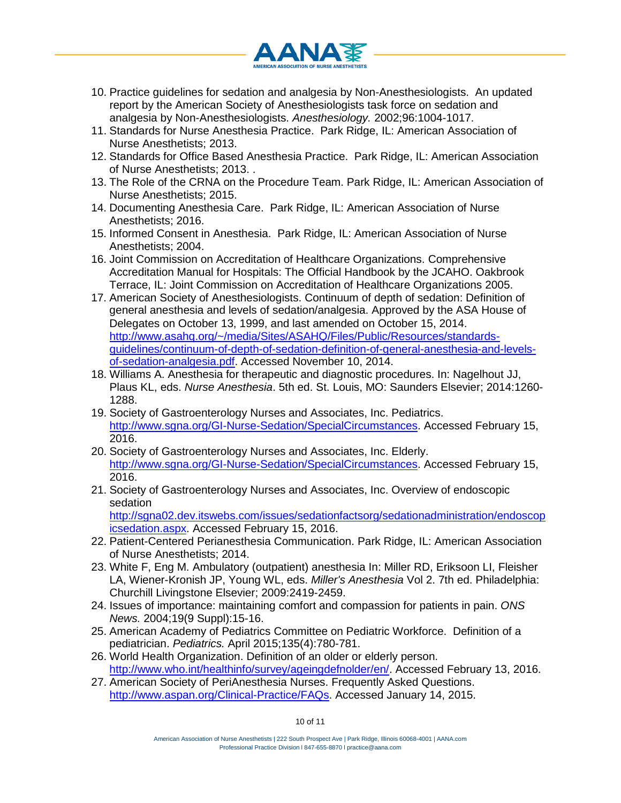

- 10. Practice guidelines for sedation and analgesia by Non-Anesthesiologists. An updated report by the American Society of Anesthesiologists task force on sedation and analgesia by Non-Anesthesiologists. *Anesthesiology.* 2002;96:1004-1017.
- 11. Standards for Nurse Anesthesia Practice. Park Ridge, IL: American Association of Nurse Anesthetists; 2013.
- 12. Standards for Office Based Anesthesia Practice. Park Ridge, IL: American Association of Nurse Anesthetists; 2013. .
- 13. The Role of the CRNA on the Procedure Team. Park Ridge, IL: American Association of Nurse Anesthetists; 2015.
- 14. Documenting Anesthesia Care. Park Ridge, IL: American Association of Nurse Anesthetists; 2016.
- 15. Informed Consent in Anesthesia. Park Ridge, IL: American Association of Nurse Anesthetists; 2004.
- 16. Joint Commission on Accreditation of Healthcare Organizations. Comprehensive Accreditation Manual for Hospitals: The Official Handbook by the JCAHO. Oakbrook Terrace, IL: Joint Commission on Accreditation of Healthcare Organizations 2005.
- 17. American Society of Anesthesiologists. Continuum of depth of sedation: Definition of general anesthesia and levels of sedation/analgesia. Approved by the ASA House of Delegates on October 13, 1999, and last amended on October 15, 2014. [http://www.asahq.org/~/media/Sites/ASAHQ/Files/Public/Resources/standards](http://www.asahq.org/%7E/media/Sites/ASAHQ/Files/Public/Resources/standards-guidelines/continuum-of-depth-of-sedation-definition-of-general-anesthesia-and-levels-of-sedation-analgesia.pdf)[guidelines/continuum-of-depth-of-sedation-definition-of-general-anesthesia-and-levels](http://www.asahq.org/%7E/media/Sites/ASAHQ/Files/Public/Resources/standards-guidelines/continuum-of-depth-of-sedation-definition-of-general-anesthesia-and-levels-of-sedation-analgesia.pdf)[of-sedation-analgesia.pdf.](http://www.asahq.org/%7E/media/Sites/ASAHQ/Files/Public/Resources/standards-guidelines/continuum-of-depth-of-sedation-definition-of-general-anesthesia-and-levels-of-sedation-analgesia.pdf) Accessed November 10, 2014.
- 18. Williams A. Anesthesia for therapeutic and diagnostic procedures. In: Nagelhout JJ, Plaus KL, eds. *Nurse Anesthesia*. 5th ed. St. Louis, MO: Saunders Elsevier; 2014:1260- 1288.
- 19. Society of Gastroenterology Nurses and Associates, Inc. Pediatrics. [http://www.sgna.org/GI-Nurse-Sedation/SpecialCircumstances.](http://www.sgna.org/GI-Nurse-Sedation/SpecialCircumstances) Accessed February 15, 2016.
- 20. Society of Gastroenterology Nurses and Associates, Inc. Elderly. [http://www.sgna.org/GI-Nurse-Sedation/SpecialCircumstances.](http://www.sgna.org/GI-Nurse-Sedation/SpecialCircumstances) Accessed February 15, 2016.
- 21. Society of Gastroenterology Nurses and Associates, Inc. Overview of endoscopic sedation

[http://sgna02.dev.itswebs.com/issues/sedationfactsorg/sedationadministration/endoscop](http://sgna02.dev.itswebs.com/issues/sedationfactsorg/sedationadministration/endoscopicsedation.aspx) [icsedation.aspx.](http://sgna02.dev.itswebs.com/issues/sedationfactsorg/sedationadministration/endoscopicsedation.aspx) Accessed February 15, 2016.

- 22. Patient-Centered Perianesthesia Communication. Park Ridge, IL: American Association of Nurse Anesthetists; 2014.
- 23. White F, Eng M. Ambulatory (outpatient) anesthesia In: Miller RD, Eriksoon LI, Fleisher LA, Wiener-Kronish JP, Young WL, eds. *Miller's Anesthesia* Vol 2. 7th ed. Philadelphia: Churchill Livingstone Elsevier; 2009:2419-2459.
- 24. Issues of importance: maintaining comfort and compassion for patients in pain. *ONS News.* 2004;19(9 Suppl):15-16.
- 25. American Academy of Pediatrics Committee on Pediatric Workforce. Definition of a pediatrician. *Pediatrics.* April 2015;135(4):780-781.
- 26. World Health Organization. Definition of an older or elderly person. [http://www.who.int/healthinfo/survey/ageingdefnolder/en/.](http://www.who.int/healthinfo/survey/ageingdefnolder/en/) Accessed February 13, 2016.
- 27. American Society of PeriAnesthesia Nurses. Frequently Asked Questions. [http://www.aspan.org/Clinical-Practice/FAQs.](http://www.aspan.org/Clinical-Practice/FAQs) Accessed January 14, 2015.

10 of 11